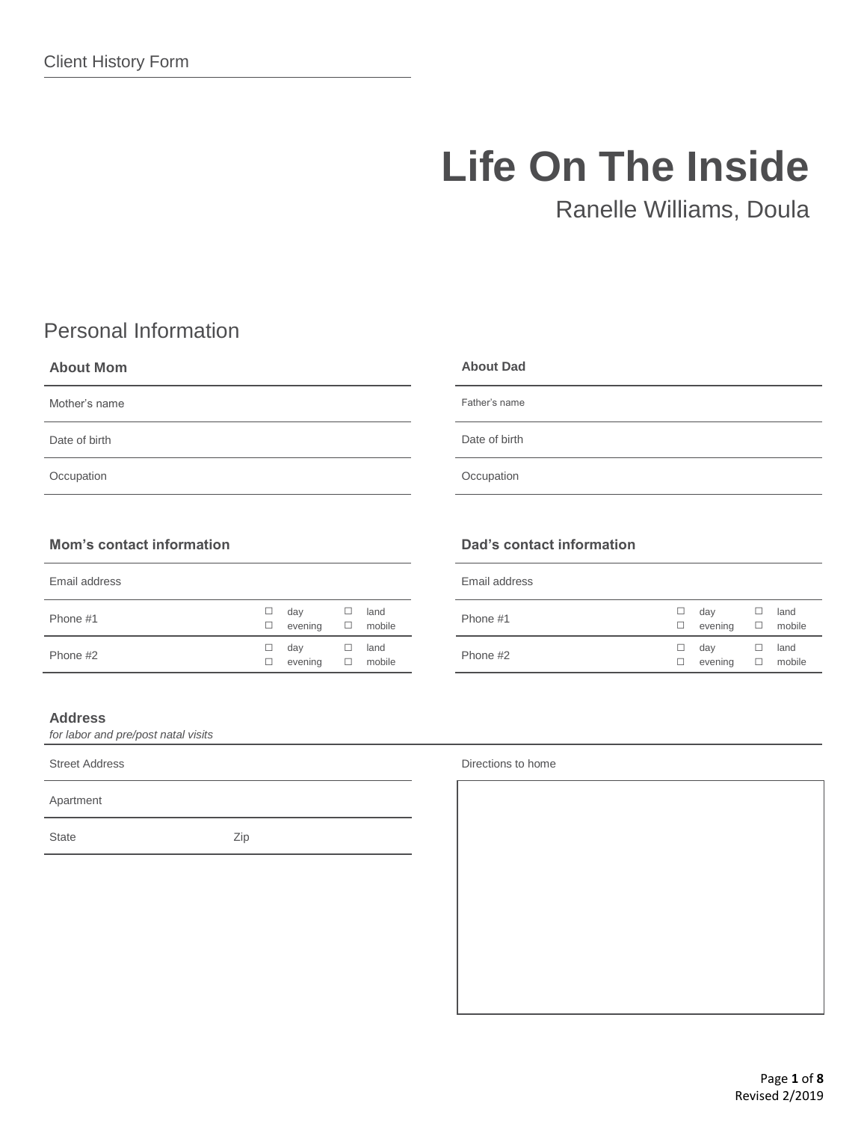# **Life On The Inside**

Ranelle Williams, Doula

# Personal Information

## **About Mom** Mother's name Date of birth **Occupation About Dad** Father's name Date of birth **Occupation**

## **Mom's contact information**

| Email address |        |         |   |        |
|---------------|--------|---------|---|--------|
| Phone #1      | ப      | day     | ப | land   |
|               | $\Box$ | evening | 0 | mobile |
| Phone #2      | ப      | day     | ப | land   |
|               | ⊔      | evening | □ | mobile |

### **Address**

*for labor and pre/post natal visits*

Apartment

State Zip

# **Dad's contact information**

| Email address |   |         |   |        |
|---------------|---|---------|---|--------|
| Phone #1      | ⊔ | day     | ⊔ | land   |
|               | ⊔ | evening | □ | mobile |
| Phone #2      | ⊔ | day     | ⊔ | land   |
|               | ⊔ | evening | □ | mobile |

Street Address **Directions** to home **Directions** to home **Directions** to home **Directions** to home

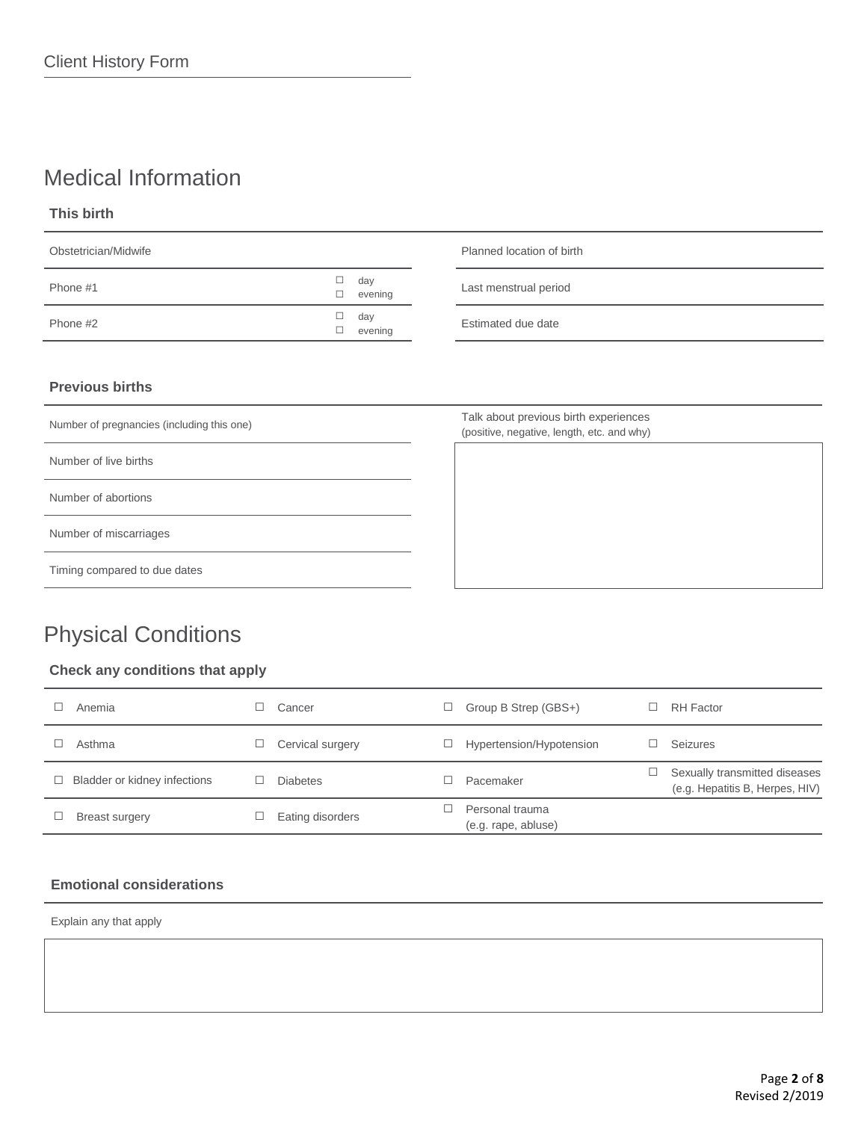# Medical Information

**This birth**

| Obstetrician/Midwife |        |                | Planned location of birth |  |
|----------------------|--------|----------------|---------------------------|--|
| Phone #1             |        | day<br>evening | Last menstrual period     |  |
| Phone #2             | □<br>⊔ | day<br>evening | Estimated due date        |  |
|                      |        |                |                           |  |

## **Previous births**

Number of pregnancies (including this one)

Number of live births

Number of abortions

Number of miscarriages

Timing compared to due dates

# Physical Conditions

## **Check any conditions that apply**

| Anemia                       | Cancer           | Group B Strep (GBS+)                   | RH Factor                                                        |
|------------------------------|------------------|----------------------------------------|------------------------------------------------------------------|
| Asthma                       | Cervical surgery | Hypertension/Hypotension               | <b>Seizures</b>                                                  |
| Bladder or kidney infections | <b>Diabetes</b>  | Pacemaker                              | Sexually transmitted diseases<br>(e.g. Hepatitis B, Herpes, HIV) |
| <b>Breast surgery</b>        | Eating disorders | Personal trauma<br>(e.g. rape, abluse) |                                                                  |

## **Emotional considerations**

Explain any that apply

Talk about previous birth experiences (positive, negative, length, etc. and why)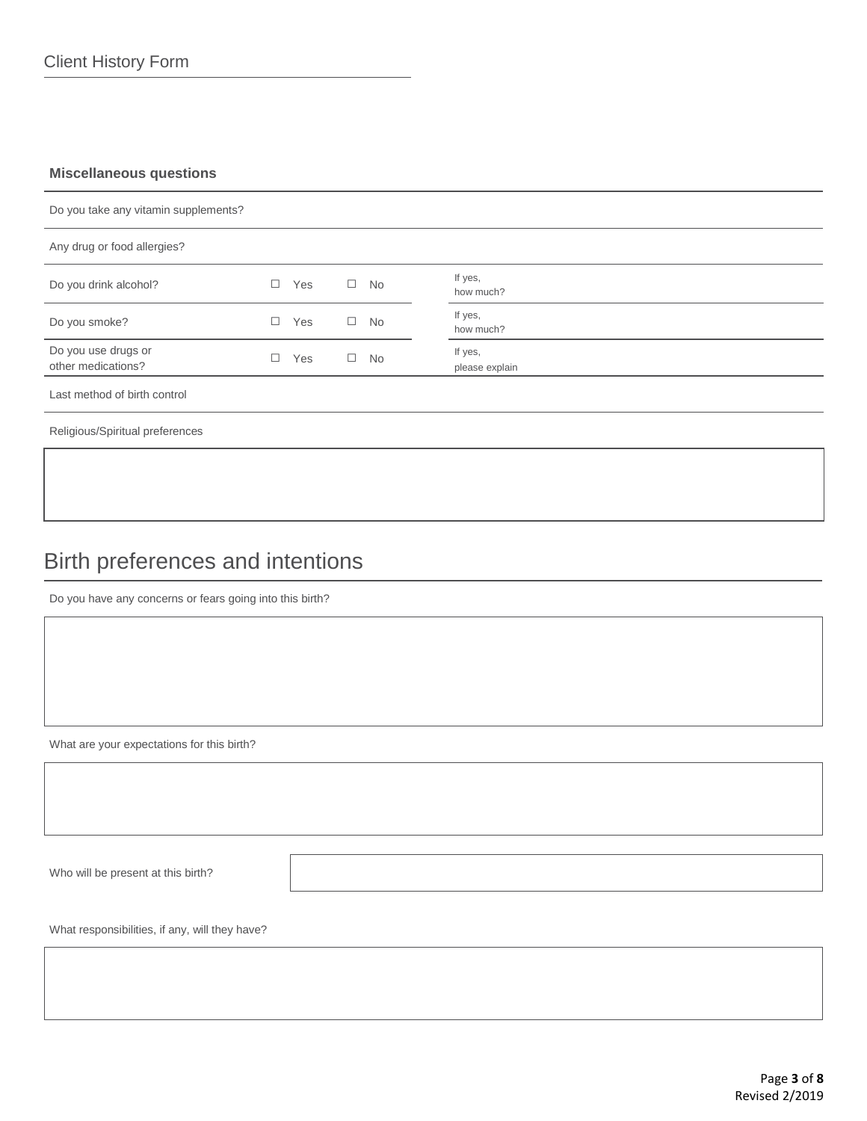### **Miscellaneous questions**

| Do you take any vitamin supplements?      |   |     |        |           |                           |
|-------------------------------------------|---|-----|--------|-----------|---------------------------|
| Any drug or food allergies?               |   |     |        |           |                           |
| Do you drink alcohol?                     |   | Yes | $\Box$ | No        | If yes,<br>how much?      |
| Do you smoke?                             |   | Yes | $\Box$ | No        | If yes,<br>how much?      |
| Do you use drugs or<br>other medications? | □ | Yes | $\Box$ | <b>No</b> | If yes,<br>please explain |
| Last method of birth control              |   |     |        |           |                           |
| Religious/Spiritual preferences           |   |     |        |           |                           |

# Birth preferences and intentions

Do you have any concerns or fears going into this birth?

What are your expectations for this birth?

Who will be present at this birth?

What responsibilities, if any, will they have?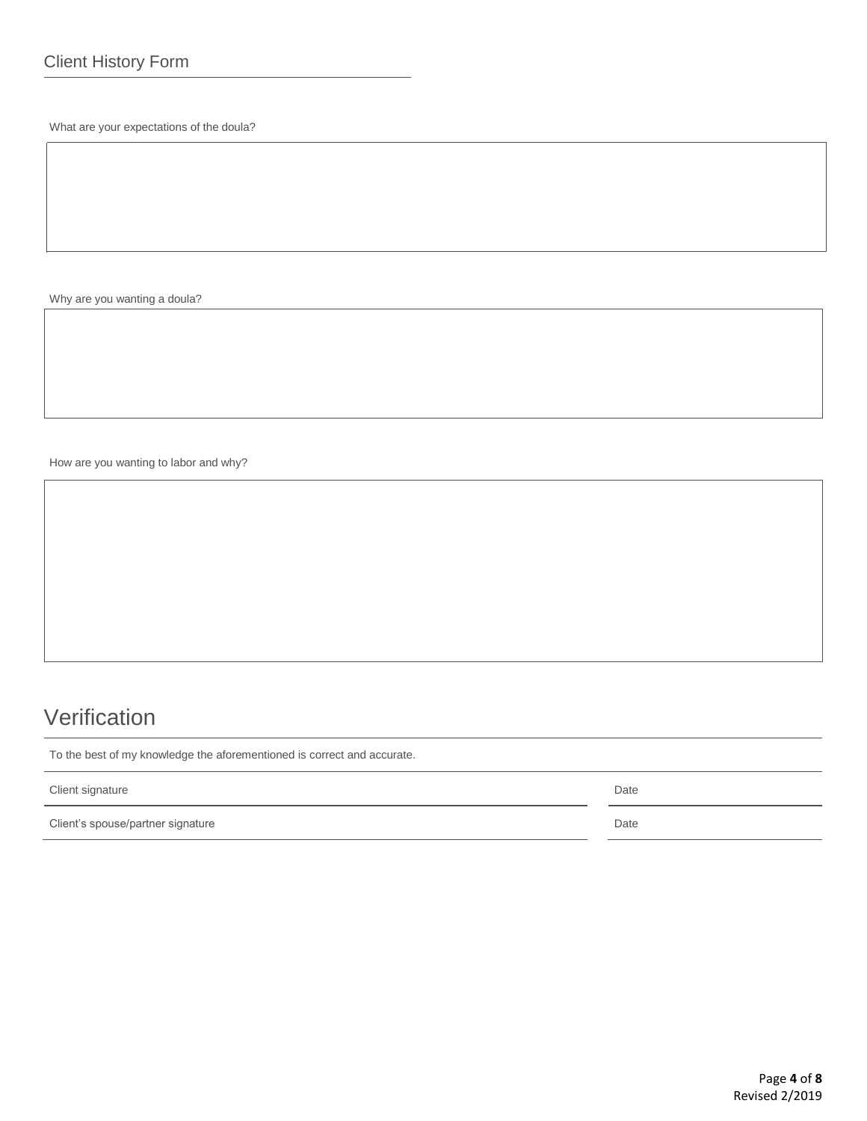What are your expectations of the doula?

Why are you wanting a doula?

How are you wanting to labor and why?

# Verification

To the best of my knowledge the aforementioned is correct and accurate.

| Client signature                  | Date |
|-----------------------------------|------|
| Client's spouse/partner signature | Date |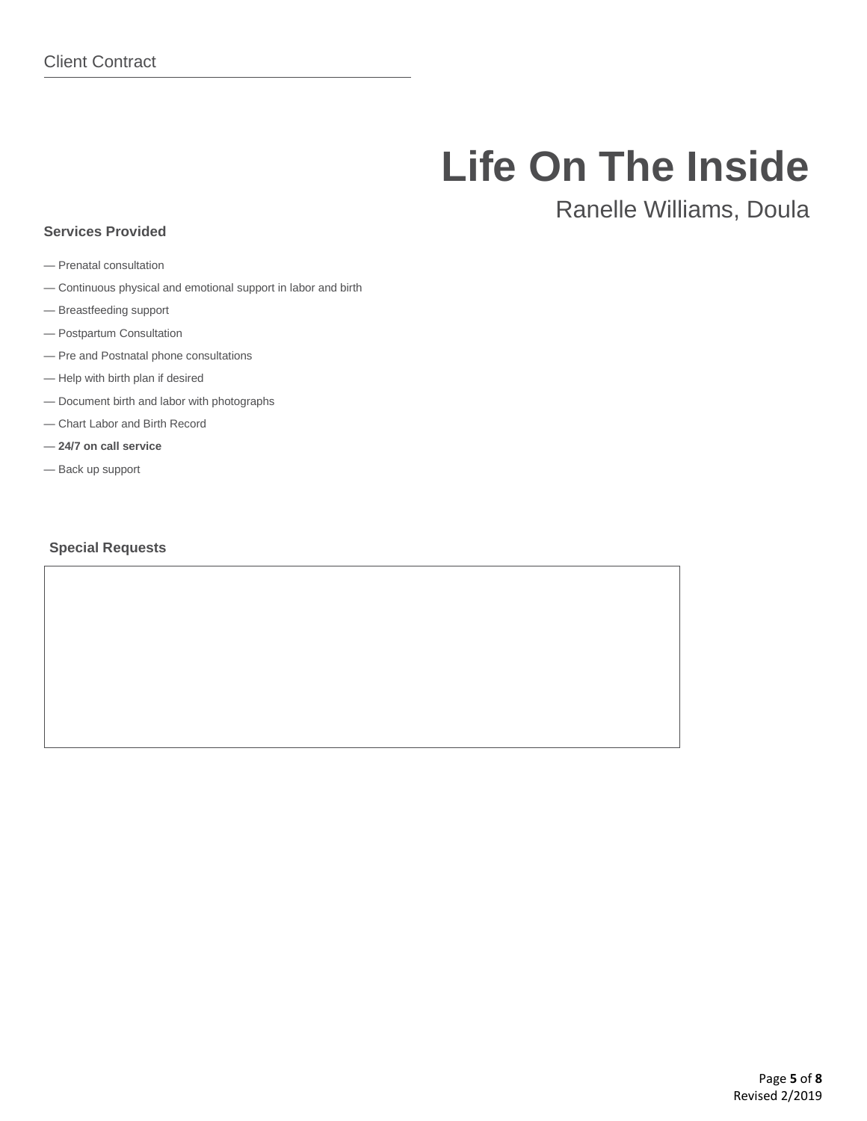# **Life On The Inside**

# Ranelle Williams, Doula

## — Prenatal consultation

**Services Provided**

- Continuous physical and emotional support in labor and birth
- Breastfeeding support
- Postpartum Consultation
- Pre and Postnatal phone consultations
- Help with birth plan if desired
- Document birth and labor with photographs
- Chart Labor and Birth Record
- **24/7 on call service**
- Back up support

#### **Special Requests**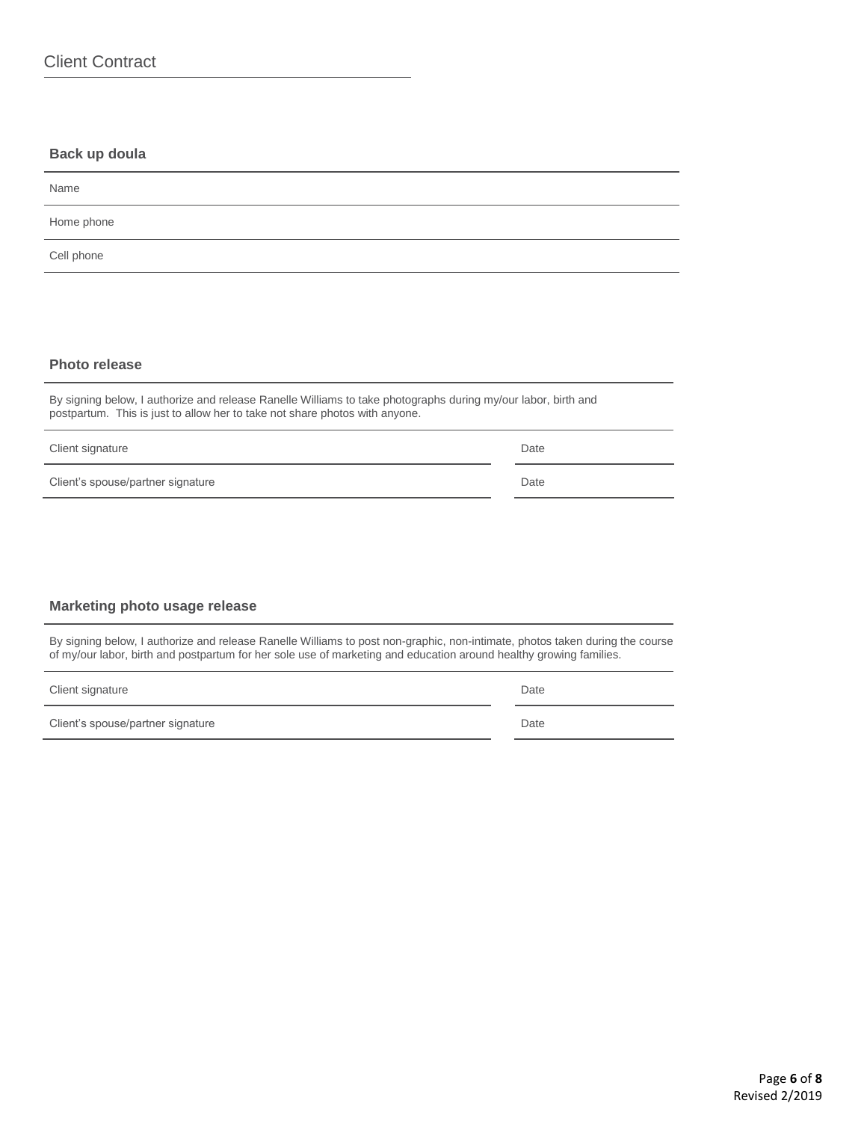### **Back up doula**

| Name       |  |
|------------|--|
| Home phone |  |
| Cell phone |  |
|            |  |

#### **Photo release**

By signing below, I authorize and release Ranelle Williams to take photographs during my/our labor, birth and postpartum. This is just to allow her to take not share photos with anyone.

| Client signature                  | Date |
|-----------------------------------|------|
| Client's spouse/partner signature | Date |

#### **Marketing photo usage release**

By signing below, I authorize and release Ranelle Williams to post non-graphic, non-intimate, photos taken during the course of my/our labor, birth and postpartum for her sole use of marketing and education around healthy growing families.

| Client signature | Date |
|------------------|------|
|------------------|------|

Client's spouse/partner signature Date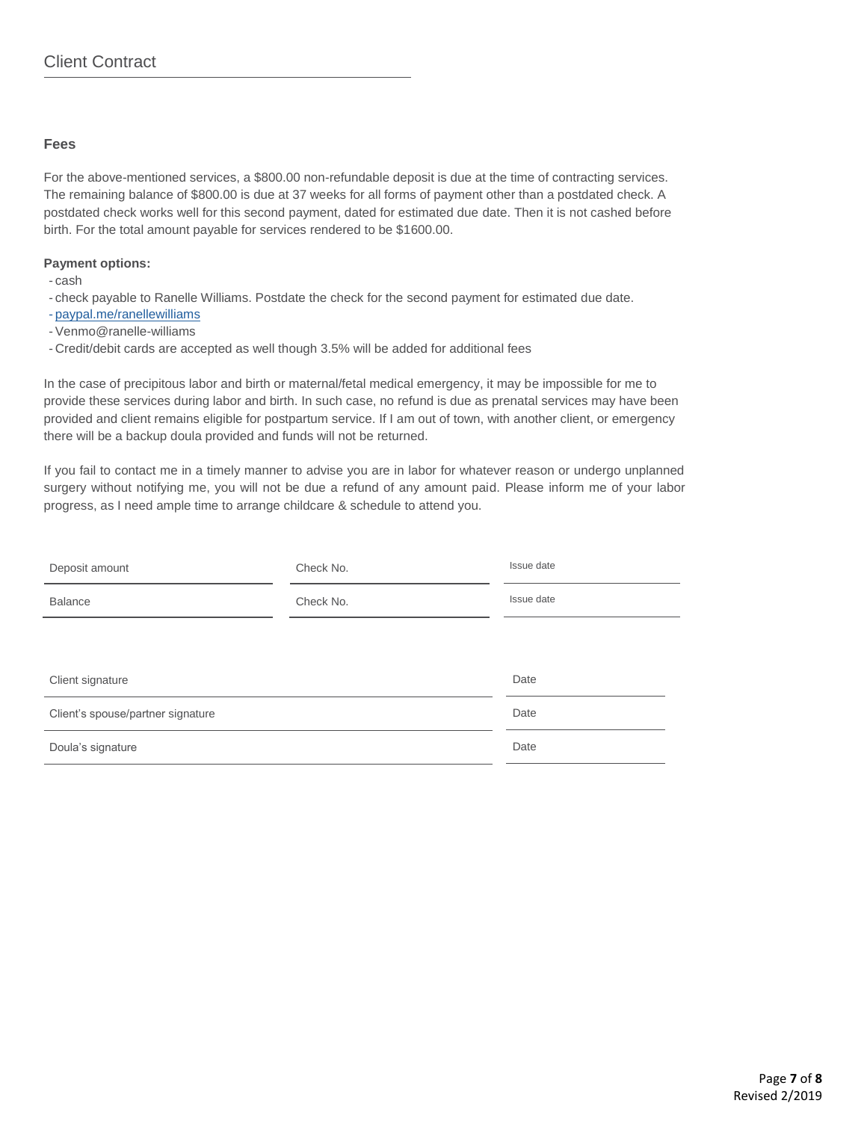#### **Fees**

For the above-mentioned services, a \$800.00 non-refundable deposit is due at the time of contracting services. The remaining balance of \$800.00 is due at 37 weeks for all forms of payment other than a postdated check. A postdated check works well for this second payment, dated for estimated due date. Then it is not cashed before birth. For the total amount payable for services rendered to be \$1600.00.

#### **Payment options:**

- cash

- check payable to Ranelle Williams. Postdate the check for the second payment for estimated due date.

- [paypal.me/ranellewilliams](http://paypal.me/ranellewilliams)
- -Venmo@ranelle-williams
- Credit/debit cards are accepted as well though 3.5% will be added for additional fees

In the case of precipitous labor and birth or maternal/fetal medical emergency, it may be impossible for me to provide these services during labor and birth. In such case, no refund is due as prenatal services may have been provided and client remains eligible for postpartum service. If I am out of town, with another client, or emergency there will be a backup doula provided and funds will not be returned.

If you fail to contact me in a timely manner to advise you are in labor for whatever reason or undergo unplanned surgery without notifying me, you will not be due a refund of any amount paid. Please inform me of your labor progress, as I need ample time to arrange childcare & schedule to attend you.

| Deposit amount                    | Check No. | Issue date |
|-----------------------------------|-----------|------------|
| <b>Balance</b>                    | Check No. | Issue date |
|                                   |           |            |
| Client signature                  |           | Date       |
| Client's spouse/partner signature |           | Date       |
| Doula's signature                 |           | Date       |